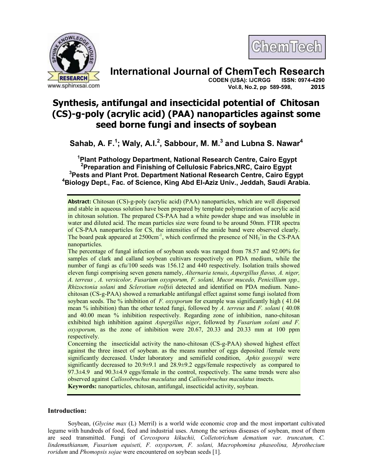



# **International Journal of ChemTech Research**

**CODEN (USA): IJCRGG Vol.8, No.2, pp 589-598, 2015** 

# **Synthesis, antifungal and insecticidal potential of Chitosan (CS)-g-poly (acrylic acid) (PAA) nanoparticles against some seed borne fungi and insects of soybean**

**Sahab, A. F.<sup>1</sup> ; Waly, A.I.<sup>2</sup> , Sabbour, M. M.<sup>3</sup> and Lubna S. Nawar<sup>4</sup>**

**Plant Pathology Department, National Research Centre, Cairo Egypt Preparation and Finishing of Cellulosic Fabrics,NRC, Cairo Egypt Pests and Plant Prot. Department National Research Centre, Cairo Egypt Biology Dept., Fac. of Science, King Abd El-Aziz Univ., Jeddah, Saudi Arabia.** 

The percentage of fungal infection of soybean seeds was ranged from 78.57 and 92.00% for samples of clark and calland soybean cultivars respectively on PDA medium, while the number of fungi as cfu/100 seeds was 156.12 and 440 respectively. Isolation trails showed eleven fungi comprising seven genera namely, *Alternaria tenuis*, *Aspergillus flavus, A. niger, A. terreus , A. versicolor, Fusarium oxysporum, F. solani, Mucor mucedo, Penicillium spp., Rhizoctonia solani* and *Sclerotium rolfsi*i detected and identified on PDA medium. Nanochitosan (CS-g-PAA) showed a remarkable antifungal effect against some fungi isolated from soybean seeds. The % inhibition of *F. oxysporum* for example was significantly high ( 41.04 mean % inhibition) than the other tested fungi, followed by *A. terreus* and *F. solani* ( 40.08 and 40.00 mean % inhibition respectively. Regarding zone of inhibition, nano-chitosan exhibited high inhibition against *Aspergillus niger*, followed by *Fusarium solani and F. oxysporum,* as the zone of inhibition were 20.67, 20.33 and 20.33 mm at 100 ppm respectively.

Concerning the insecticidal activity the nano-chitosan (CS-g-PAA) showed highest effect against the three insect of soybean. as the means number of eggs deposited /female were significantly decreased. Under laboratory and semifield condition, *Aphis gossypii* were significantly decreased to  $20.9\pm9.1$  and  $28.9\pm9.2$  eggs/female respectively as compared to  $97.3\pm4.9$  and  $90.3\pm4.9$  eggs/female in the control, respectively. The same trends were also observed against *Callosobruchus maculatus* and *Callosobruchus maculatus* insects. **Keywords:** nanoparticles, chitosan, antifungal, insecticidal activity, soybean.

**Introduction:** 

Soybean, (*Glycine max* (L) Merril) is a world wide economic crop and the most important cultivated legume with hundreds of food, feed and industrial uses. Among the serious diseases of soybean, most of them are seed transmitted. Fungi of *Cercospora kikuchii, Colletotrichum dematium var. truncatum, C. lindemuthianum, Fusarium equiseti, F. oxysporum, F. solani, Macrophomina phaseolina, Myrothecium roridum* and *Phomopsis sojae* were encountered on soybean seeds [1].

**Abstract:** Chitosan (CS)-g-poly (acrylic acid) (PAA) nanoparticles, which are well dispersed and stable in aqueous solution have been prepared by template polymerization of acrylic acid in chitosan solution. The prepared CS-PAA had a white powder shape and was insoluble in water and diluted acid. The mean particles size were found to be around 50nm. FTIR spectra of CS-PAA nanoparticles for CS, the intensities of the amide band were observed clearly. The board peak appeared at  $2500 \text{cm}^{-1}$ , which confirmed the presence of NH<sub>3</sub><sup>+</sup>in the CS-PAA nanoparticles.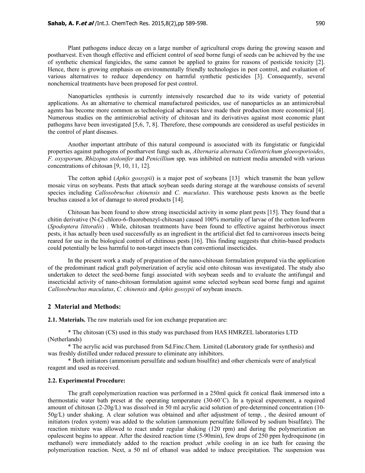Plant pathogens induce decay on a large number of agricultural crops during the growing season and postharvest. Even though effective and efficient control of seed borne fungi of seeds can be achieved by the use of synthetic chemical fungicides, the same cannot be applied to grains for reasons of pesticide toxicity [2]. Hence, there is growing emphasis on environmentally friendly technologies in pest control, and evaluation of various alternatives to reduce dependency on harmful synthetic pesticides [3]. Consequently, several nonchemical treatments have been proposed for pest control.

 Nanoparticles synthesis is currently intensively researched due to its wide variety of potential applications. As an alternative to chemical manufactured pesticides, use of nanoparticles as an antimicrobial agents has become more common as technological advances have made their production more economical [4]. Numerous studies on the antimicrobial activity of chitosan and its derivatives against most economic plant pathogens have been investigated [5,6, 7, 8]. Therefore, these compounds are considered as useful pesticides in the control of plant diseases.

 Another important attribute of this natural compound is associated with its fungistatic or fungicidal properties against pathogens of postharvest fungi such as, *Alternaria alternata Colletotrichum gloeosporioides*, *F. oxysporum, Rhizopus stolonifer* and *Penicillium* spp. was inhibited on nutrient media amended with various concentrations of chitosan [9, 10, 11, 12].

 The cotton aphid (*Aphis gossypii*) is a major pest of soybeans [13] which transmit the bean yellow mosaic virus on soybeans. Pests that attack soybean seeds during storage at the warehouse consists of several species including *Callosobruchus chinensis* and *C. maculatus*. This warehouse pests known as the beetle bruchus caused a lot of damage to stored products [14].

 Chitosan has been found to show strong insecticidal activity in some plant pests [15]. They found that a chitin derivative (N-(2-chloro-6-fluorobenzyl-chitosan) caused 100% mortality of larvae of the cotton leafworm (*Spodoptera littoralis*) . While, chitosan treatments have been found to effective against herbivorous insect pests, it has actually been used successfully as an ingredient in the artificial diet fed to carnivorous insects being reared for use in the biological control of chitinous pests [16]. This finding suggests that chitin-based products could potentially be less harmful to non-target insects than conventional insecticides.

 In the present work a study of preparation of the nano-chitosan formulation prepared via the application of the predominant radical graft polymerization of acrylic acid onto chitosan was investigated. The study also undertaken to detect the seed-borne fungi associated with soybean seeds and to evaluate the antifungal and insecticidal activity of nano-chitosan formulation against some selected soybean seed borne fungi and against *Callosobruchus maculatus*, *C. chinensis* and *Aphis gossypii* of soybean insects.

#### **2 Material and Methods:**

**2.1. Materials.** The raw materials used for ion exchange preparation are:

 \* The chitosan (CS) used in this study was purchased from HAS HMRZEL laboratories LTD (Netherlands)

 \* The acrylic acid was purchased from Sd.Finc.Chem. Limited (Laboratory grade for synthesis) and was freshly distilled under reduced pressure to eliminate any inhibitors.

 \* Both initiators (ammonium persulfate and sodium bisulfite) and other chemicals were of analytical reagent and used as received.

#### **2.2. Experimental Procedure:**

The graft copolymerization reaction was performed in a 250ml quick fit conical flask immersed into a thermostatic water bath preset at the operating temperature (30-60˚C). In a typical experement, a required amount of chitosan (2-20g/L) was dissolved in 50 ml acrylic acid solution of pre-determined concentration (10- 50g/L) under shaking. A clear solution was obtained and after adjustment of temp. , the desired amount of initiators (redox system) was added to the solution (ammonium persulfate followed by sodium bisulfate). The reaction mixture was allowed to react under regular shaking (120 rpm) and during the polymerization an opalescent begins to appear. After the desired reaction time (5-90min), few drops of 250 ppm hydroquinone (in methanol) were immediately added to the reaction product ,while cooling in an ice bath for ceasing the polymerization reaction. Next, a 50 ml of ethanol was added to induce precipitation. The suspension was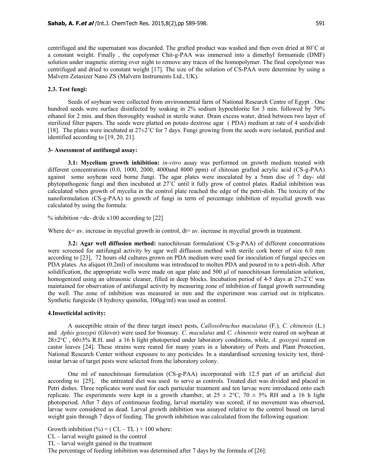centrifuged and the supernatant was discarded. The grafted product was washed and then oven dried at 80˚C at a constant weight. Finally , the copolymer Chit-g-PAA was immersed into a dimethyl formamide (DMF) solution under magnetic stirring over night to remove any traces of the homopolymer. The final copolymer was centrifuged and dried to constant weight [17]. The size of the solution of CS-PAA were determine by using a Malvern Zetasizer Nano ZS (Malvern Instruments Ltd., UK).

#### **2.3. Test fungi:**

 Seeds of soybean were collected from environmental farm of National Research Centre of Egypt . One hundred seeds were surface disinfected by soaking in 2% sodium hypochlorite for 3 min. followed by 70% ethanol for 2 min. and then thoroughly washed in sterile water. Drain excess water, dried between two layer of sterilized filter papers. The seeds were platted on potato dextrose agar ( PDA) medium at rate of 4 seeds/dish [18]. The plates were incubated at 27±2˚C for 7 days. Fungi growing from the seeds were isolated, purified and identified according to [19, 20, 21].

#### **3- Assessment of antifungal assay:**

**3.1: Mycelium growth inhibition:** *in-vitro* assay was performed on growth medium treated with different concentrations (0.0, 1000, 2000, 4000and 8000 ppm) of chitosan grafted acrylic acid (CS-g-PAA) against some soybean seed borne fungi. The agar plates were inoculated by a 5mm disc of 7 day- old phytopathogenic fungi and then incubated at 27˚C until it fully grow of control plates. Radial inhibition was calculated when growth of mycelia in the control plate reached the edge of the petri-dish. The toxicity of the nanoformulation (CS-g-PAA) to growth of fungi in term of percentage inhibition of mycelial growth was calculated by using the formula:

% inhibition =dc- dt/dc  $x100$  according to [22]

Where dc= av. increase in mycelial growth in control, dt= av. increase in mycelial growth in treatment.

**3.2: Agar well diffusion method:** nanochitosan formulation( CS-g-PAA) of different concentrations were screened for antifungal activity by agar well diffusion method with sterile cork borer of size 6.0 mm according to [23], 72 hours old cultures grown on PDA medium were used for inoculation of fungal species on PDA plates. An aliquot (0.2ml) of inoculums was introduced to molten PDA and poured in to a petri-dish. After solidification, the appropriate wells were made on agar plate and 500 µl of nanochitosan formulation solution, homogenized using an ultrasonic cleaner, filled in deep blocks. Incubation period of 4-5 days at  $27 \pm 2^{\circ}$ C was maintained for observation of antifungal activity by measuring zone of inhibition of fungal growth surrounding the well. The zone of inhibition was measured in mm and the experiment was carried out in triplicates. Synthetic fungicide (8 hydroxy quinolin,  $100\mu\text{g/ml}$ ) was used as control.

#### **4.Insecticidal activity:**

A susceptible strain of the three target insect pests, *Callosobruchus maculatus* (F.)*, C. chinensis* (L.) and *Aphis gossypii* (Glover) were used for bioassay. *C. maculatus* and *C. chinensis* were reared on soybean at 28±2°C , 60±5% R.H. and a 16 h light photoperiod under laboratory conditions, while, *A. gossypii* reared on castor leaves [24]. These strains were reared for many years in a laboratory of Pests and Plant Protection, National Research Center without exposure to any pesticides. In a standardised screening toxicity test, thirdinstar larvae of target pests were selected from the laboratory colony.

 One ml of nanochitosan formulation (CS-g-PAA) incorporated with 12.5 part of an artificial diet according to [25], the untreated diet was used to serve as controls. Treated diet was divided and placed in Petri dishes. Three replicates were used for each particular treatment and ten larvae were introduced onto each replicate. The experiments were kept in a growth chamber, at  $25 \pm 2^{\circ}C$ ,  $70 \pm 5\%$  RH and a 16 h light photoperiod. After 7 days of continuous feeding, larval mortality was scored; if no movement was observed, larvae were considered as dead. Larval growth inhibition was assayed relative to the control based on larval weight gain through 7 days of feeding. The growth inhibition was calculated from the following equation:

Growth inhibition  $(\%) = (CL - TL) \times 100$  where:

- CL larval weight gained in the control
- TL larval weight gained in the treatment

The percentage of feeding inhibition was determined after 7 days by the formula of [26]: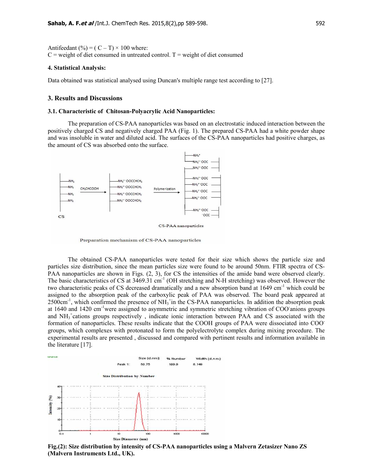Antifeedant (%) =  $(C - T) \times 100$  where:  $C$  = weight of diet consumed in untreated control. T = weight of diet consumed

#### **4. Statistical Analysis:**

Data obtained was statistical analysed using Duncan's multiple range test according to [27].

#### **3. Results and Discussions**

#### **3.1. Characteristic of Chitosan-Polyacrylic Acid Nanoparticles:**

The preparation of CS-PAA nanoparticles was based on an electrostatic induced interaction between the positively charged CS and negatively charged PAA (Fig. 1). The prepared CS-PAA had a white powder shape and was insoluble in water and diluted acid. The surfaces of the CS-PAA nanoparticles had positive charges, as the amount of CS was absorbed onto the surface.



Preparation mechanism of CS-PAA nanoparticles

The obtained CS-PAA nanoparticles were tested for their size which shows the particle size and particles size distribution, since the mean particles size were found to be around 50nm. FTIR spectra of CS-PAA nanoparticles are shown in Figs.  $(2, 3)$ , for CS the intensities of the amide band were observed clearly. The basic characteristics of CS at 3469.31 cm<sup>-1</sup> (OH stretching and N-H stretching) was observed. However the two characteristic peaks of CS decreased dramatically and a new absorption band at 1649 cm<sup>-1</sup> which could be assigned to the absorption peak of the carboxylic peak of PAA was observed. The board peak appeared at  $2500 \text{cm}^{-1}$ , which confirmed the presence of NH<sub>3</sub><sup>+</sup>in the CS-PAA nanoparticles. In addition the absorption peak at 1640 and 1420 cm<sup>-1</sup>were assigned to asymmetric and symmetric stretching vibration of COO anions groups and NH<sub>3</sub><sup>+</sup>cations groups respectively, indicate ionic interaction between PAA and CS associated with the formation of nanoparticles. These results indicate that the COOH groups of PAA were dissociated into COOgroups, which complexes with protonated to form the polyelectrolyte complex during mixing procedure. The experimental results are presented , discussed and compared with pertinent results and information available in the literature [17].



**Fig.(2): Size distribution by intensity of CS-PAA nanoparticles using a Malvern Zetasizer Nano ZS (Malvern Instruments Ltd., UK).**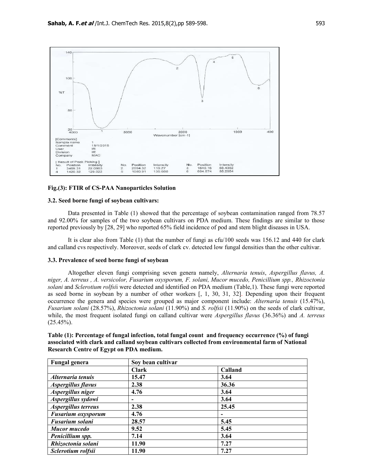

#### **Fig.(3): FTIR of CS-PAA Nanoparticles Solution**

#### **3.2. Seed borne fungi of soybean cultivars:**

 Data presented in Table (1) showed that the percentage of soybean contamination ranged from 78.57 and 92.00% for samples of the two soybean cultivars on PDA medium. These findings are similar to those reported previously by [28, 29] who reported 65% field incidence of pod and stem blight diseases in USA.

 It is clear also from Table (1) that the number of fungi as cfu/100 seeds was 156.12 and 440 for clark and calland cvs respectively. Moreover, seeds of clark cv. detected low fungal densities than the other cultivar.

#### **3.3. Prevalence of seed borne fungi of soybean**

Altogether eleven fungi comprising seven genera namely, *Alternaria tenuis*, *Aspergillus flavus, A. niger, A. terreus , A. versicolor, Fusarium oxysporum, F. solani, Mucor mucedo, Penicillium spp., Rhizoctonia solani* and *Sclerotium rolfsi*i were detected and identified on PDA medium (Table,1). These fungi were reported as seed borne in soybean by a number of other workers [, 1, 30, 31, 32]. Depending upon their frequent occurrence the genera and species were grouped as major component include: *Alternaria tenuis* (15.47%), *Fusarium solani* (28.57%), *Rhizoctonia solani* (11.90%) and *S. rolfsii* (11.90%) on the seeds of clark cultivar, while, the most frequent isolated fungi on calland cultivar were *Aspergillus flavus* (36.36%) and *A. terreus*  $(25.45\%)$ .

| Table (1): Percentage of fungal infection, total fungal count and frequency occurrence (%) of fungi |
|-----------------------------------------------------------------------------------------------------|
| associated with clark and calland soybean cultivars collected from environmental farm of National   |
| Research Centre of Egypt on PDA medium.                                                             |

| <b>Fungal genera</b>      | Soy bean cultivar        |         |  |
|---------------------------|--------------------------|---------|--|
|                           | <b>Clark</b>             | Calland |  |
| Alternaria tenuis         | 15.47                    | 3.64    |  |
| Aspergillus flavus        | 2.38                     | 36.36   |  |
| Aspergillus niger         | 4.76                     | 3.64    |  |
| Aspergillus sydowi        | $\overline{\phantom{a}}$ | 3.64    |  |
| Aspergillus terreus       | 2.38                     | 25.45   |  |
| <b>Fusarium oxysporum</b> | 4.76                     |         |  |
| <b>Fusarium solani</b>    | 28.57                    | 5.45    |  |
| Mucor mucedo              | 9.52                     | 5.45    |  |
| Penicillium spp.          | 7.14                     | 3.64    |  |
| Rhizoctonia solani        | 11.90                    | 7.27    |  |
| Sclerotium rolfsii        | 11.90                    | 7.27    |  |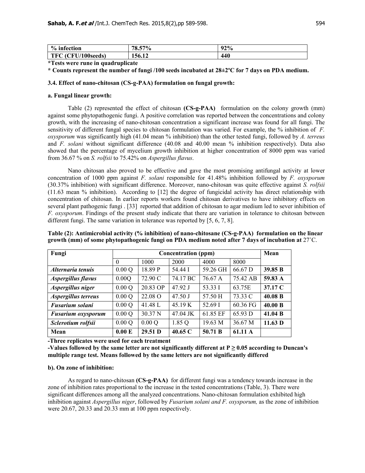| % infection                  | 57%<br>70<br>'0.51 | 92% |
|------------------------------|--------------------|-----|
| (CFU/100seeds)<br><b>TFC</b> | 156.12             | 440 |

**\*Tests were rune in quadruplicate** 

**\* Counts represent the number of fungi /100 seeds incubated at 28±2ºC for 7 days on PDA medium.** 

#### **3.4. Effect of nano-chitosan (CS-g-PAA) formulation on fungal growth:**

#### **a. Fungal linear growth:**

 Table (2) represented the effect of chitosan **(CS-g-PAA)** formulation on the colony growth (mm) against some phytopathogenic fungi. A positive correlation was reported between the concentrations and colony growth, with the increasing of nano-chitosan concentration a significant increase was found for all fungi. The sensitivity of different fungal species to chitosan formulation was varied. For example, the % inhibition of *F. oxysporum* was significantly high (41.04 mean % inhibition) than the other tested fungi, followed by *A. terreus* and *F. solani* without significant difference (40.08 and 40.00 mean % inhibition respectively). Data also showed that the percentage of mycelium growth inhibition at higher concentration of 8000 ppm was varied from 36.67 % on *S. rolfsii* to 75.42% on *Aspergillus flavus*.

Nano chitosan also proved to be effective and gave the most promising antifungal activity at lower concentration of 1000 ppm against *F. solani* responsible for 41.48% inhibition followed by *F. oxysporum* (30.37% inhibition) with significant difference. Moreover, nano-chitosan was quite effective against *S. rolfsii* (11.63 mean % inhibition). According to [12] the degree of fungicidal activity has direct relationship with concentration of chitosan. In earlier reports workers found chitosan derivatives to have inhibitory effects on several plant pathogenic fungi . [33] reported that addition of chitosan to agar medium led to sever inhibition of *F. oxysporum*. Findings of the present study indicate that there are variation in tolerance to chitosan between different fungi. The same variation in tolerance was reported by [5, 6, 7, 8].

**Table (2): Antimicrobial activity (% inhibition) of nano-chitosane (CS-g-PAA) formulation on the linear growth (mm) of some phytopathogenic fungi on PDA medium noted after 7 days of incubation at** 27˚C.

| Fungi                     | <b>Concentration (ppm)</b> |                    |           |          | Mean     |         |
|---------------------------|----------------------------|--------------------|-----------|----------|----------|---------|
|                           | $\theta$                   | 1000               | 2000      | 4000     | 8000     |         |
| Alternaria tenuis         | 0.00Q                      | 18.89 P            | 54.44 I   | 59.26 GH | 66.67 D  | 39.85 B |
| <b>Aspergillus flavus</b> | 0.00Q                      | 72.90 C            | 74.17 BC  | 76.67 A  | 75.42 AB | 59.83 A |
| Aspergillus niger         | 0.00Q                      | 20.83 OP           | 47.92 J   | 53.33 I  | 63.75E   | 37.17 C |
| Aspergillus terreus       | 0.00Q                      | 22.08 O            | $47.50$ J | 57.50 H  | 73.33 C  | 40.08 B |
| <b>Fusarium solani</b>    | 0.00Q                      | 41.48 L            | 45.19 K   | 52.69 I  | 60.36 FG | 40.00 B |
| <b>Fusarium oxysporum</b> | 0.00Q                      | 30.37 <sub>N</sub> | 47.04 JK  | 61.85 EF | 65.93 D  | 41.04 B |
| Sclerotium rolfsii        | 0.00Q                      | 0.00Q              | 1.85 Q    | 19.63 M  | 36.67 M  | 11.63 D |
| Mean                      | 0.00 E                     | 29.51 <sub>D</sub> | 40.65 C   | 50.71 B  | 61.11 A  |         |

**-Three replicates were used for each treatment** 

-Values followed by the same letter are not significantly different at  $P \geq 0.05$  according to Duncan's **multiple range test. Means followed by the same letters are not significantly differed** 

### **b). On zone of inhibition:**

 As regard to nano-chitosan **(CS-g-PAA)** for different fungi was a tendency towards increase in the zone of inhibition rates proportional to the increase in the tested concentrations (Table, 3). There were significant differences among all the analyzed concentrations. Nano-chitosan formulation exhibited high inhibition against *Aspergillus niger*, followed by *Fusarium solani and F. oxysporum,* as the zone of inhibition were 20.67, 20.33 and 20.33 mm at 100 ppm respectively.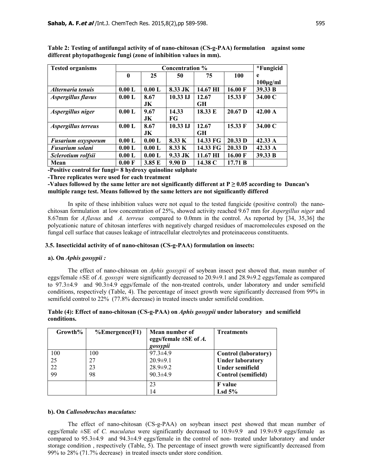| <b>Tested organisms</b>   | <b>Concentration</b> % |        |                   |           |                   | <i>*Fungicid</i> |
|---------------------------|------------------------|--------|-------------------|-----------|-------------------|------------------|
|                           | $\mathbf{0}$           | 25     | 50                | 75        | 100               | e                |
|                           |                        |        |                   |           |                   | $100\mu g/ml$    |
| Alternaria tenuis         | 0.00 L                 | 0.00 L | 8.33 JK           | 14.67 HI  | $16.00 \text{ F}$ | 39.33 B          |
| <b>Aspergillus flavus</b> | 0.00 L                 | 8.67   | $10.33$ IJ        | 12.67     | 15.33 F           | 34.00 C          |
|                           |                        | JK.    |                   | <b>GH</b> |                   |                  |
| Aspergillus niger         | 0.00 L                 | 9.67   | 14.33             | 18.33 E   | $20.67$ D         | 42.00 A          |
|                           |                        | JK.    | FG                |           |                   |                  |
| Aspergillus terreus       | 0.00 L                 | 8.67   | 10.33 IJ          | 12.67     | 15.33 F           | 34.00 C          |
|                           |                        | JK.    |                   | <b>GH</b> |                   |                  |
| <b>Fusarium oxysporum</b> | 0.00 L                 | 0.00 L | 8.33 K            | 14.33 FG  | 20.33 D           | 42.33 A          |
| Fusarium solani           | 0.00 L                 | 0.00 L | 8.33 K            | 14.33 FG  | 20.33 D           | 42.33 A          |
| Sclerotium rolfsii        | 0.00 L                 | 0.00 L | 9.33 JK           | 11.67 HI  | 16.00 F           | 39.33 B          |
| Mean                      | 0.00 F                 | 3.85 E | 9.90 <sub>D</sub> | 14.38 C   | 17.71 B           |                  |

**Table 2: Testing of antifungal activity of of nano-chitosan (CS-g-PAA) formulation against some different phytopathogenic fungi (zone of inhibition values in mm).** 

**-Positive control for fungi= 8 hydroxy quinoline sulphate** 

**-Three replicates were used for each treatment** 

**-Values followed by the same letter are not significantly different at P ≥ 0.05 according to Duncan's multiple range test. Means followed by the same letters are not significantly differed** 

 In spite of these inhibition values were not equal to the tested fungicide (positive control) the nanochitosan formulation at low concentration of 25%, showed activity reached 9.67 mm for *Aspergillus niger* and 8.67mm for *A.flavus* and *A. terreus* compared to 0.0mm in the control. As reported by [34, 35,36] the polycationic nature of chitosan interferes with negatively charged residues of macromolecules exposed on the fungal cell surface that causes leakage of intracellular electrolytes and proteinaceous constituents.

#### **3.5. Insecticidal activity of of nano-chitosan (CS-g-PAA) formulation on insects:**

#### **a). On** *Aphis gossypii :*

 The effect of nano-chitosan on *Aphis gossypii* of soybean insect pest showed that, mean number of eggs/female ±SE of *A. gossypi* were significantly decreased to 20.9±9.1 and 28.9±9.2 eggs/female as compared to 97.3±4.9 and 90.3±4.9 eggs/female of the non-treated controls, under laboratory and under semifield conditions, respectively (Table, 4). The percentage of insect growth were significantly decreased from 99% in semifield control to 22% (77.8% decrease) in treated insects under semifield condition.

| Growth% | $%$ Emergence(F1) | Mean number of<br>eggs/female $\pm$ SE of A.<br>gossypii | <b>Treatments</b>           |
|---------|-------------------|----------------------------------------------------------|-----------------------------|
| 100     | 100               | $97.3 \pm 4.9$                                           | <b>Control</b> (laboratory) |
| 25      | 27                | $20.9 \pm 9.1$                                           | <b>Under laboratory</b>     |
| 22      | 23                | $28.9 \pm 9.2$                                           | <b>Under semifield</b>      |
| 99      | 98                | $90.3 \pm 4.9$                                           | Control (semifield)         |
|         |                   | 23                                                       | <b>F</b> value              |
|         |                   | 14                                                       | $\text{Lsd }5\%$            |

## **Table (4): Effect of nano-chitosan (CS-g-PAA) on** *Aphis gossypii* **under laboratory and semifield conditions.**

#### **b). On** *Callosobruchus maculatus:*

 The effect of nano-chitosan (CS-g-PAA) on soybean insect pest showed that mean number of eggs/female ±SE of *C. maculatus* were significantly decreased to 10.9±9.9 and 19.9±9.9 eggs/female as compared to 95.3±4.9 and 94.3±4.9 eggs/female in the control of non- treated under laboratory and under storage condition , respectively (Table, 5). The percentage of insect growth were significantly decreased from 99% to 28% (71.7% decrease) in treated insects under store condition.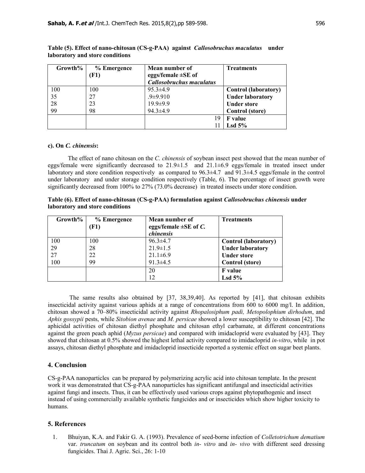| Growth% | % Emergence | Mean number of                  | <b>Treatments</b>           |
|---------|-------------|---------------------------------|-----------------------------|
|         | (F1)        | eggs/female $\pm$ SE of         |                             |
|         |             | <b>Callosobruchus maculatus</b> |                             |
| 100     | 100         | $95.3 \pm 4.9$                  | <b>Control (laboratory)</b> |
| 35      | 27          | $.9 + 9.910$                    | <b>Under laboratory</b>     |
| 28      | 23          | $19.9 \pm 9.9$                  | <b>Under store</b>          |
| 99      | 98          | $94.3 \pm 4.9$                  | <b>Control</b> (store)      |
|         |             | 19                              | <b>F</b> value              |
|         |             |                                 | Lsd $5%$                    |

**Table (5). Effect of nano-chitosan (CS-g-PAA) against** *Callosobruchus maculatus* **under laboratory and store conditions** 

#### **c). On** *C. chinensis***:**

 The effect of nano chitosan on the *C. chinensis* of soybean insect pest showed that the mean number of eggs/female were significantly decreased to  $21.9\pm1.5$  and  $21.1\pm6.9$  eggs/female in treated insect under laboratory and store condition respectively as compared to 96.3±4.7 and 91.3±4.5 eggs/female in the control under laboratory and under storage condition respectively (Table, 6). The percentage of insect growth were significantly decreased from 100% to 27% (73.0% decrease) in treated insects under store condition.

| Table (6). Effect of nano-chitosan (CS-g-PAA) formulation against <i>Callosobruchus chinensis</i> under |  |
|---------------------------------------------------------------------------------------------------------|--|
| laboratory and store conditions                                                                         |  |

| Growth% | % Emergence | Mean number of             | <b>Treatments</b>           |
|---------|-------------|----------------------------|-----------------------------|
|         | (F1)        | eggs/female $\pm$ SE of C. |                             |
|         |             | chinensis                  |                             |
| 100     | 100         | $96.3 \pm 4.7$             | <b>Control</b> (laboratory) |
| 29      | 28          | $21.9 \pm 1.5$             | <b>Under laboratory</b>     |
| 27      | 22          | $21.1 \pm 6.9$             | <b>Under store</b>          |
| 100     | 99          | $91.3 \pm 4.5$             | <b>Control</b> (store)      |
|         |             | 20                         | <b>F</b> value              |
|         |             | 12                         | $\text{Lsd }5\%$            |

 The same results also obtained by [37, 38,39,40]. As reported by [41], that chitosan exhibits insecticidal activity against various aphids at a range of concentrations from 600 to 6000 mg/l. In addition, chitosan showed a 70–80% insecticidal activity against *Rhopalosiphum padi, Metopolophium dirhodum*, and *Aphis gossypii* pests, while *Sitobion avenae* and *M. persicae* showed a lower susceptibility to chitosan [42]. The aphicidal activities of chitosan diethyl phosphate and chitosan ethyl carbamate, at different concentrations against the green peach aphid (*Myzus persicae*) and compared with imidacloprid were evaluated by [43]. They showed that chitosan at 0.5% showed the highest lethal activity compared to imidacloprid *in-vitro*, while in pot assays, chitosan diethyl phosphate and imidacloprid insecticide reported a systemic effect on sugar beet plants.

# **4. Conclusion**

CS-g-PAA nanoparticles can be prepared by polymerizing acrylic acid into chitosan template. In the present work it was demonstrated that CS-g-PAA nanoparticles has significant antifungal and insecticidal activities against fungi and insects. Thus, it can be effectively used various crops against phytopathogenic and insect instead of using commercially available synthetic fungicides and or insecticides which show higher toxicity to humans.

# **5. References**

1. Bhuiyan, K.A. and Fakir G. A. (1993). Prevalence of seed-borne infection of *Colletotrichum dematium* var. *truncatum* on soybean and its control both *in- vitro* and *in- vivo* with different seed dressing fungicides. Thai J. Agric. Sci., 26: 1-10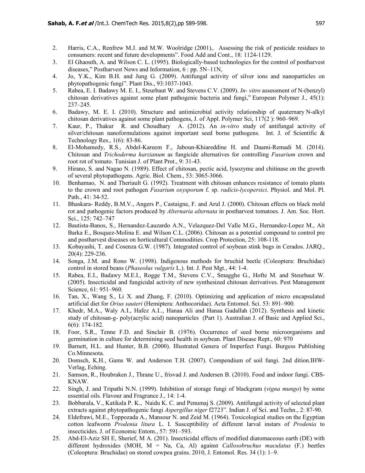- 2. Harris, C.A., Renfrew M.J. and M.W. Woolridge (2001),. Assessing the risk of pesticide residues to consumers: recent and future developments". Food Add and Cont., 18: 1124-1129.
- 3. El Ghaouth, A. and Wilson C. L. (1995). Biologically-based technologies for the control of postharvest diseases," Postharvest News and Information, 6 : pp. 5N–11N,
- 4. Jo, Y.K., Kim B.H. and Jung G. (2009). Antifungal activity of silver ions and nanoparticles on phytopathogenic fungi". Plant Dis., 93:1037-1043.
- 5. Rabea, E. I. Badawy M. E. I., Steurbaut W. and Stevens C.V. (2009). *In- vitro* assessment of N-(benzyl) chitosan derivatives against some plant pathogenic bacteria and fungi," European Polymer J., 45(1): 237–245.
- 6. Badawy, M. E. I. (2010). Structure and antimicrobial activity relationship of quaternary N-alkyl chitosan derivatives against some plant pathogens, J. of Appl. Polymer Sci, 117(2 ): 960–969.
- 7. Kaur, P., Thakur R. and Choudhary A. (2012). An *in-vitro* study of antifungal activity of silver/chitosan nanoformulations against important seed borne pathogens. Int. J. of Scientific & Technology Res., 1(6): 83-86.
- 8. El-Mohamedy, R.S., Abdel-Kareem F., Jaboun-Khiareddine H. and Daami-Remadi M. (2014). Chitosan and *Trichoderma harzianum* as fungicide alternatives for controlling *Fusarium* crown and root rot of tomato. Tunisian J. of Plant Prot., 9: 31-43.
- 9. Hirano, S. and Nagao N. (1989). Effect of chitosan, pectic acid, lysozyme and chitinase on the growth of several phytopathogens. Agric. Biol. Chem., 53: 3065-3066.
- 10. Benhamao, N. and Theriault G. (1992). Treatment with chitosan enhances resistance of tomato plants to the crown and root pathogen *Fusarium oxysporum* f. sp. *radicis-lycopersici*. Physiol. and Mol. Pl. Path., 41: 34-52.
- 11. Bhaskara- Reddy, B.M.V., Angers P., Castaigne, F. and Arul J. (2000). Chitosan effects on black mold rot and pathogenic factors produced by *Alternaria alternata* in postharvest tomatoes. J. Am. Soc. Hort. Sci., 125: 742–747
- 12. Bautista-Banos, S., Hernandez-Lauzardo A.N., Velazquez-Del Valle M.G., Hernandez-Lopez M., Ait Barka E., Bosquez-Molina E. and Wilson C.L. (2006). Chitosan as a potential compound to control pre and postharvest diseases on horticultural Commodities. Crop Protection, 25: 108-118.
- 13. Kobayashi, T. and Cosenza G.W. (1987). Integrated control of soybean stink bugs in Cerados. JARQ., 20(4): 229-236.
- 14. Songa, J.M. and Rono W. (1998). Indigenous methods for bruchid beetle (Coleoptera: Bruchidae) control in stored beans (*Phaseolus vulgaris* L.). Int. J. Pest Mgt., 44: 1-4.
- 15. Rabea, E.I., Badawy M.E.I., Rogge T.M., Stevens C.V., Smagghe G., Hofte M. and Steurbaut W. (2005). Insecticidal and fungicidal activity of new synthesized chitosan derivatives. Pest Management Science, 61: 951–960*.*
- 16. Tan, X., Wang S., Li X. and Zhang, F. (2010). Optimizing and application of micro encapsulated artificial diet for *Orius sauteri* (Hemiptera: Anthocoridae). Acta Entomol. Sci. 53: 891–900.
- 17. Khedr, M.A., Waly A.I., Hafez A.I.., Hanaa Ali and Hanaa Gadallah (2012). Synthesis and kinetic study of chitosan-g- poly(acrylic acid) nanoparticles (Part 1). Australian J. of Basic and Applied Sci., 6(6): 174-182.
- 18. Foor, S.R., Tenne F.D. and Sinclair B. (1976). Occurrence of seed borne microorganisms and germination in culture for determining seed health in soybean. Plant Disease Rept., 60: 970
- 19. Barnett, H.L. and Hunter, B.B. (2000). Illustrated Genera of Imperfect Fungi. Burgess Publishing Co.Minnesota.
- 20. Domsch, K.H., Gams W. and Anderson T.H. (2007). Compendium of soil fungi. 2nd dition.IHW-Verlag, Eching.
- 21. Samson, R., Houbraken J., Thrane U., frisvad J. and Andersen B. (2010). Food and indoor fungi. CBS-KNAW.
- 22. Singh, J. and Tripathi N.N. (1999). Inhibition of storage fungi of blackgram (*vigna mungo*) by some essential oils. Flavour and Fragrance J., 14: 1-4.
- 23. Bobbarala, V., Katikala P. K., Naidu K. C. and Penumaj S. (2009). Antifungal activity of selected plant extracts against phytopathogenic fungi *Aspergillus niger* f2723". Indian J. of Sci. and Techn., 2: 87-90.
- 24. Eldefrawi, M.E., Toppozada A., Mansour N. and Zeid M. (1964). Toxicological studies on the Egyptian cotton leafworm *Prodenia litura* L. I. Susceptibility of different larval instars of *Prodenia* to insecticides. J. of Economic Entom., 57: 591–593.
- 25. Abd-El-Aziz SH E, Sherief, M A. (201). Insecticidal effects of modified diatomaceous earth (DE) with different hydroxides (MOH, M = Na, Ca, Al) against *Callosobruchus maculatus* (F.) beetles (Coleoptera: Bruchidae) on stored cowpea grains. 2010, J. Entomol. Res. 34 (1): 1–9.